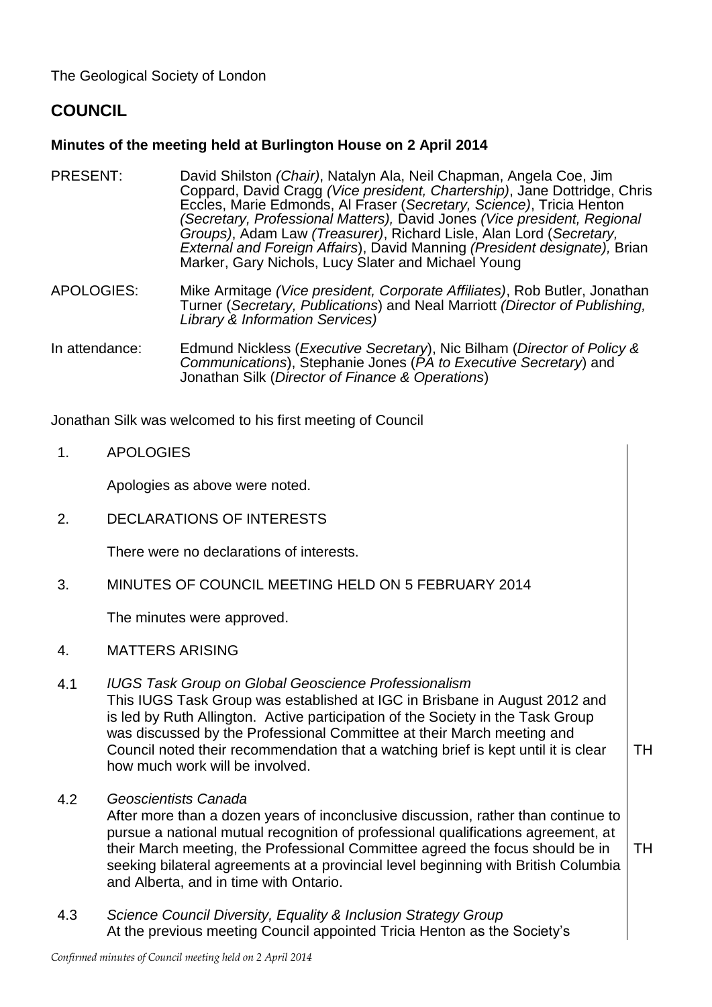The Geological Society of London

# **COUNCIL**

## **Minutes of the meeting held at Burlington House on 2 April 2014**

PRESENT: David Shilston *(Chair)*, Natalyn Ala, Neil Chapman, Angela Coe, Jim Coppard, David Cragg *(Vice president, Chartership)*, Jane Dottridge, Chris Eccles, Marie Edmonds, Al Fraser (*Secretary, Science)*, Tricia Henton *(Secretary, Professional Matters),* David Jones *(Vice president, Regional Groups)*, Adam Law *(Treasurer)*, Richard Lisle, Alan Lord (*Secretary, External and Foreign Affairs*), David Manning *(President designate),* Brian Marker, Gary Nichols, Lucy Slater and Michael Young

APOLOGIES: Mike Armitage *(Vice president, Corporate Affiliates)*, Rob Butler, Jonathan Turner (*Secretary, Publications*) and Neal Marriott *(Director of Publishing, Library & Information Services)*

In attendance: Edmund Nickless (*Executive Secretary*), Nic Bilham (*Director of Policy & Communications*), Stephanie Jones (*PA to Executive Secretary*) and Jonathan Silk (*Director of Finance & Operations*)

Jonathan Silk was welcomed to his first meeting of Council

1. APOLOGIES

Apologies as above were noted.

2. DECLARATIONS OF INTERESTS

There were no declarations of interests.

3. MINUTES OF COUNCIL MEETING HELD ON 5 FEBRUARY 2014

The minutes were approved.

- 4. MATTERS ARISING
- 4.1 *IUGS Task Group on Global Geoscience Professionalism*

This IUGS Task Group was established at IGC in Brisbane in August 2012 and is led by Ruth Allington. Active participation of the Society in the Task Group was discussed by the Professional Committee at their March meeting and Council noted their recommendation that a watching brief is kept until it is clear how much work will be involved. TH

4.2 *Geoscientists Canada*

> After more than a dozen years of inconclusive discussion, rather than continue to pursue a national mutual recognition of professional qualifications agreement, at their March meeting, the Professional Committee agreed the focus should be in seeking bilateral agreements at a provincial level beginning with British Columbia and Alberta, and in time with Ontario. TH

4.3 *Science Council Diversity, Equality & Inclusion Strategy Group* At the previous meeting Council appointed Tricia Henton as the Society's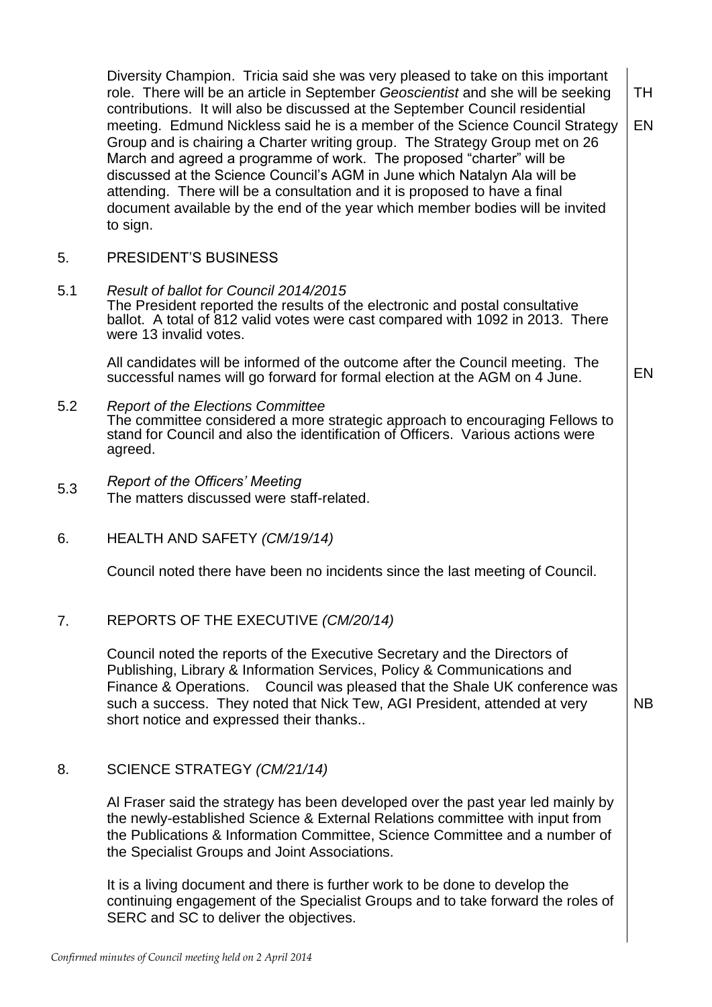|     | Diversity Champion. Tricia said she was very pleased to take on this important<br>role. There will be an article in September Geoscientist and she will be seeking<br>contributions. It will also be discussed at the September Council residential<br>meeting. Edmund Nickless said he is a member of the Science Council Strategy<br>Group and is chairing a Charter writing group. The Strategy Group met on 26<br>March and agreed a programme of work. The proposed "charter" will be<br>discussed at the Science Council's AGM in June which Natalyn Ala will be<br>attending. There will be a consultation and it is proposed to have a final<br>document available by the end of the year which member bodies will be invited<br>to sign. | <b>TH</b><br><b>EN</b> |
|-----|---------------------------------------------------------------------------------------------------------------------------------------------------------------------------------------------------------------------------------------------------------------------------------------------------------------------------------------------------------------------------------------------------------------------------------------------------------------------------------------------------------------------------------------------------------------------------------------------------------------------------------------------------------------------------------------------------------------------------------------------------|------------------------|
| 5.  | PRESIDENT'S BUSINESS                                                                                                                                                                                                                                                                                                                                                                                                                                                                                                                                                                                                                                                                                                                              |                        |
| 5.1 | Result of ballot for Council 2014/2015<br>The President reported the results of the electronic and postal consultative<br>ballot. A total of 812 valid votes were cast compared with 1092 in 2013. There<br>were 13 invalid votes.                                                                                                                                                                                                                                                                                                                                                                                                                                                                                                                |                        |
|     | All candidates will be informed of the outcome after the Council meeting. The<br>successful names will go forward for formal election at the AGM on 4 June.                                                                                                                                                                                                                                                                                                                                                                                                                                                                                                                                                                                       | EN                     |
| 5.2 | <b>Report of the Elections Committee</b><br>The committee considered a more strategic approach to encouraging Fellows to<br>stand for Council and also the identification of Officers. Various actions were<br>agreed.                                                                                                                                                                                                                                                                                                                                                                                                                                                                                                                            |                        |
| 5.3 | <b>Report of the Officers' Meeting</b><br>The matters discussed were staff-related.                                                                                                                                                                                                                                                                                                                                                                                                                                                                                                                                                                                                                                                               |                        |
| 6.  | HEALTH AND SAFETY (CM/19/14)                                                                                                                                                                                                                                                                                                                                                                                                                                                                                                                                                                                                                                                                                                                      |                        |
|     | Council noted there have been no incidents since the last meeting of Council.                                                                                                                                                                                                                                                                                                                                                                                                                                                                                                                                                                                                                                                                     |                        |
| 7.  | REPORTS OF THE EXECUTIVE (CM/20/14)                                                                                                                                                                                                                                                                                                                                                                                                                                                                                                                                                                                                                                                                                                               |                        |
|     | Council noted the reports of the Executive Secretary and the Directors of<br>Publishing, Library & Information Services, Policy & Communications and<br>Finance & Operations. Council was pleased that the Shale UK conference was<br>such a success. They noted that Nick Tew, AGI President, attended at very<br>short notice and expressed their thanks                                                                                                                                                                                                                                                                                                                                                                                        | <b>NB</b>              |
| 8.  | SCIENCE STRATEGY (CM/21/14)                                                                                                                                                                                                                                                                                                                                                                                                                                                                                                                                                                                                                                                                                                                       |                        |
|     | Al Fraser said the strategy has been developed over the past year led mainly by<br>the newly-established Science & External Relations committee with input from<br>the Publications & Information Committee, Science Committee and a number of<br>the Specialist Groups and Joint Associations.                                                                                                                                                                                                                                                                                                                                                                                                                                                   |                        |
|     | It is a living document and there is further work to be done to develop the<br>continuing engagement of the Specialist Groups and to take forward the roles of<br>SERC and SC to deliver the objectives.                                                                                                                                                                                                                                                                                                                                                                                                                                                                                                                                          |                        |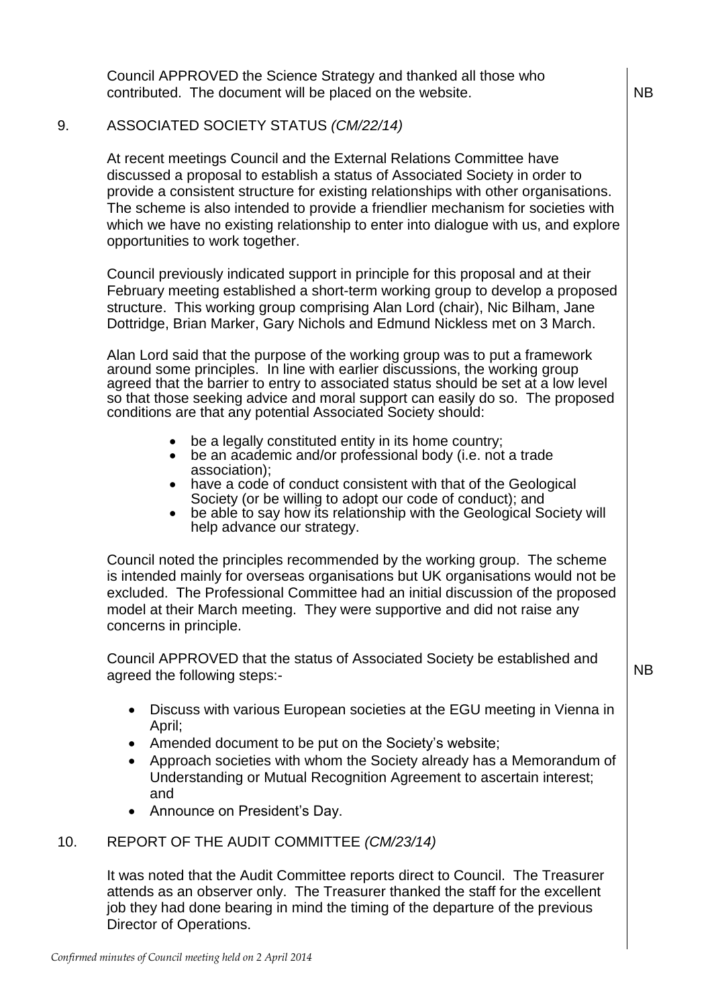Council APPROVED the Science Strategy and thanked all those who contributed. The document will be placed on the website.  $\vert$  NB

# 9. ASSOCIATED SOCIETY STATUS *(CM/22/14)*

At recent meetings Council and the External Relations Committee have discussed a proposal to establish a status of Associated Society in order to provide a consistent structure for existing relationships with other organisations. The scheme is also intended to provide a friendlier mechanism for societies with which we have no existing relationship to enter into dialogue with us, and explore opportunities to work together.

Council previously indicated support in principle for this proposal and at their February meeting established a short-term working group to develop a proposed structure. This working group comprising Alan Lord (chair), Nic Bilham, Jane Dottridge, Brian Marker, Gary Nichols and Edmund Nickless met on 3 March.

Alan Lord said that the purpose of the working group was to put a framework around some principles. In line with earlier discussions, the working group agreed that the barrier to entry to associated status should be set at a low level so that those seeking advice and moral support can easily do so. The proposed conditions are that any potential Associated Society should:

- be a legally constituted entity in its home country;
- be an academic and/or professional body (i.e. not a trade association);
- have a code of conduct consistent with that of the Geological Society (or be willing to adopt our code of conduct); and
- be able to say how its relationship with the Geological Society will help advance our strategy.

Council noted the principles recommended by the working group. The scheme is intended mainly for overseas organisations but UK organisations would not be excluded. The Professional Committee had an initial discussion of the proposed model at their March meeting. They were supportive and did not raise any concerns in principle.

Council APPROVED that the status of Associated Society be established and agreed the following steps:-

NB

- Discuss with various European societies at the EGU meeting in Vienna in April;
- Amended document to be put on the Society's website;
- Approach societies with whom the Society already has a Memorandum of Understanding or Mutual Recognition Agreement to ascertain interest; and
- Announce on President's Day.

# 10. REPORT OF THE AUDIT COMMITTEE *(CM/23/14)*

It was noted that the Audit Committee reports direct to Council. The Treasurer attends as an observer only. The Treasurer thanked the staff for the excellent job they had done bearing in mind the timing of the departure of the previous Director of Operations.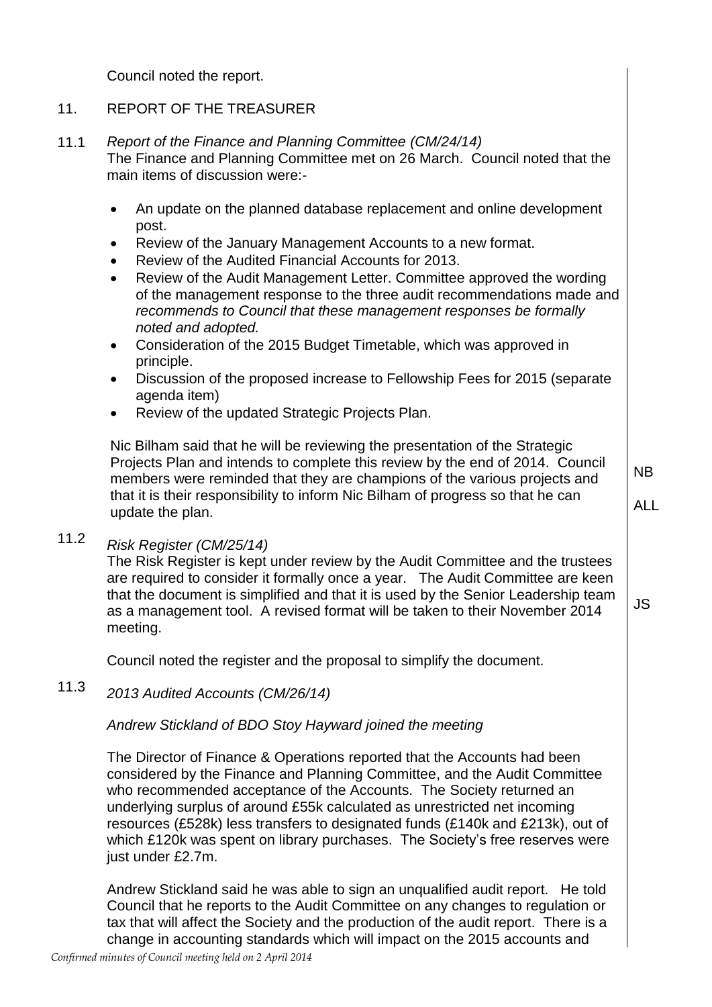Council noted the report.

### 11. REPORT OF THE TREASURER

### 11.1 *Report of the Finance and Planning Committee (CM/24/14)*

The Finance and Planning Committee met on 26 March. Council noted that the main items of discussion were:-

- An update on the planned database replacement and online development post.
- Review of the January Management Accounts to a new format.
- Review of the Audited Financial Accounts for 2013.
- Review of the Audit Management Letter. Committee approved the wording of the management response to the three audit recommendations made and *recommends to Council that these management responses be formally noted and adopted.*
- Consideration of the 2015 Budget Timetable, which was approved in principle.
- Discussion of the proposed increase to Fellowship Fees for 2015 (separate agenda item)
- Review of the updated Strategic Projects Plan.

Nic Bilham said that he will be reviewing the presentation of the Strategic Projects Plan and intends to complete this review by the end of 2014. Council members were reminded that they are champions of the various projects and that it is their responsibility to inform Nic Bilham of progress so that he can update the plan.

NB ALL

JS

## 11.2 *Risk Register (CM/25/14)*

The Risk Register is kept under review by the Audit Committee and the trustees are required to consider it formally once a year. The Audit Committee are keen that the document is simplified and that it is used by the Senior Leadership team as a management tool. A revised format will be taken to their November 2014 meeting.

Council noted the register and the proposal to simplify the document.

### 11.3 *2013 Audited Accounts (CM/26/14)*

## *Andrew Stickland of BDO Stoy Hayward joined the meeting*

The Director of Finance & Operations reported that the Accounts had been considered by the Finance and Planning Committee, and the Audit Committee who recommended acceptance of the Accounts. The Society returned an underlying surplus of around £55k calculated as unrestricted net incoming resources (£528k) less transfers to designated funds (£140k and £213k), out of which £120k was spent on library purchases. The Society's free reserves were just under £2.7m.

Andrew Stickland said he was able to sign an unqualified audit report. He told Council that he reports to the Audit Committee on any changes to regulation or tax that will affect the Society and the production of the audit report. There is a change in accounting standards which will impact on the 2015 accounts and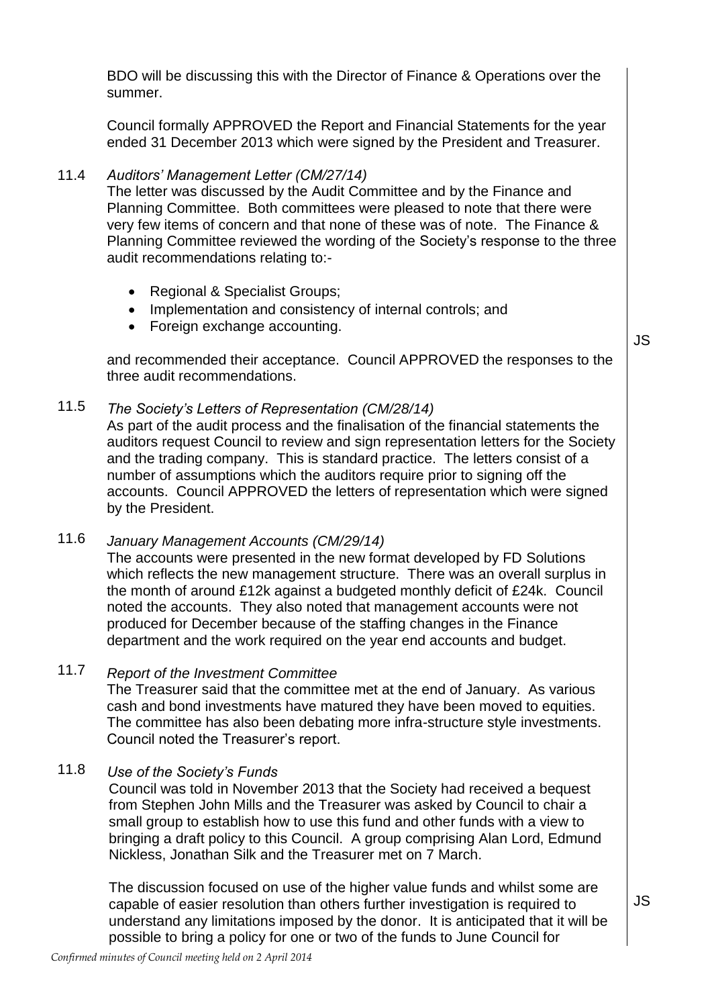BDO will be discussing this with the Director of Finance & Operations over the summer.

Council formally APPROVED the Report and Financial Statements for the year ended 31 December 2013 which were signed by the President and Treasurer.

#### 11.4 *Auditors' Management Letter (CM/27/14)*

The letter was discussed by the Audit Committee and by the Finance and Planning Committee. Both committees were pleased to note that there were very few items of concern and that none of these was of note. The Finance & Planning Committee reviewed the wording of the Society's response to the three audit recommendations relating to:-

- Regional & Specialist Groups;
- Implementation and consistency of internal controls; and
- Foreign exchange accounting.

and recommended their acceptance. Council APPROVED the responses to the three audit recommendations.

### 11.5 *The Society's Letters of Representation (CM/28/14)*

As part of the audit process and the finalisation of the financial statements the auditors request Council to review and sign representation letters for the Society and the trading company. This is standard practice. The letters consist of a number of assumptions which the auditors require prior to signing off the accounts. Council APPROVED the letters of representation which were signed by the President.

11.6 *January Management Accounts (CM/29/14)* The accounts were presented in the new format developed by FD Solutions which reflects the new management structure. There was an overall surplus in the month of around £12k against a budgeted monthly deficit of £24k. Council noted the accounts. They also noted that management accounts were not produced for December because of the staffing changes in the Finance department and the work required on the year end accounts and budget.

### 11.7 *Report of the Investment Committee*

The Treasurer said that the committee met at the end of January. As various cash and bond investments have matured they have been moved to equities. The committee has also been debating more infra-structure style investments. Council noted the Treasurer's report.

### 11.8 *Use of the Society's Funds*

Council was told in November 2013 that the Society had received a bequest from Stephen John Mills and the Treasurer was asked by Council to chair a small group to establish how to use this fund and other funds with a view to bringing a draft policy to this Council. A group comprising Alan Lord, Edmund Nickless, Jonathan Silk and the Treasurer met on 7 March.

The discussion focused on use of the higher value funds and whilst some are capable of easier resolution than others further investigation is required to understand any limitations imposed by the donor. It is anticipated that it will be possible to bring a policy for one or two of the funds to June Council for

JS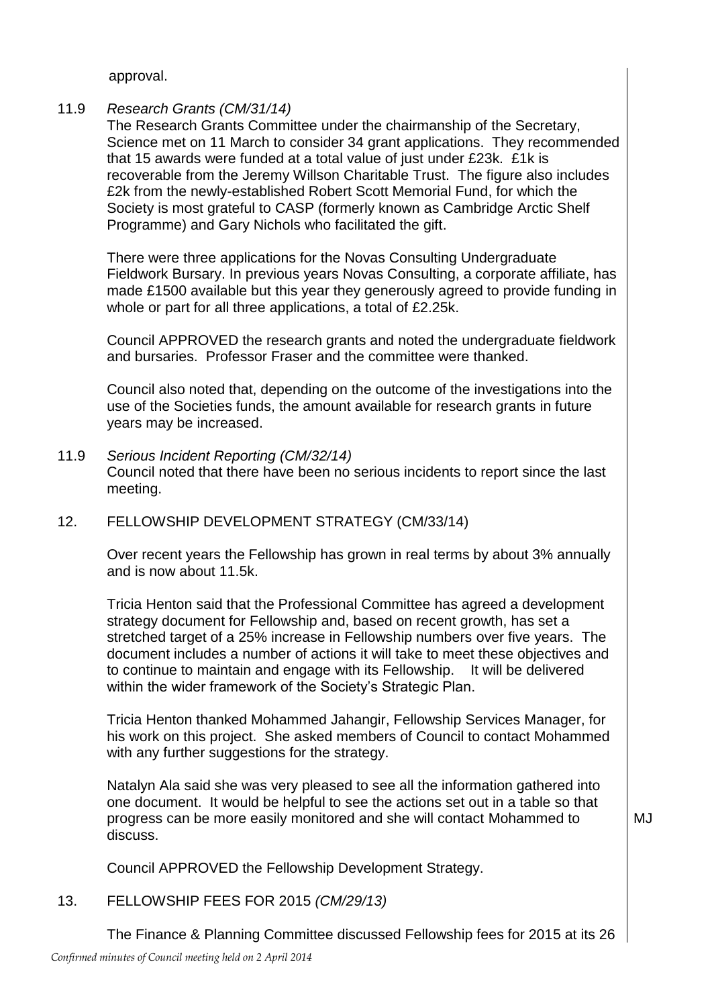approval.

#### 11.9 *Research Grants (CM/31/14)*

The Research Grants Committee under the chairmanship of the Secretary, Science met on 11 March to consider 34 grant applications. They recommended that 15 awards were funded at a total value of just under £23k. £1k is recoverable from the Jeremy Willson Charitable Trust. The figure also includes £2k from the newly-established Robert Scott Memorial Fund, for which the Society is most grateful to CASP (formerly known as Cambridge Arctic Shelf Programme) and Gary Nichols who facilitated the gift.

There were three applications for the Novas Consulting Undergraduate Fieldwork Bursary. In previous years Novas Consulting, a corporate affiliate, has made £1500 available but this year they generously agreed to provide funding in whole or part for all three applications, a total of £2.25k.

Council APPROVED the research grants and noted the undergraduate fieldwork and bursaries. Professor Fraser and the committee were thanked.

Council also noted that, depending on the outcome of the investigations into the use of the Societies funds, the amount available for research grants in future years may be increased.

- 11.9 *Serious Incident Reporting (CM/32/14)* Council noted that there have been no serious incidents to report since the last meeting.
- 12. FELLOWSHIP DEVELOPMENT STRATEGY (CM/33/14)

Over recent years the Fellowship has grown in real terms by about 3% annually and is now about 11.5k.

Tricia Henton said that the Professional Committee has agreed a development strategy document for Fellowship and, based on recent growth, has set a stretched target of a 25% increase in Fellowship numbers over five years. The document includes a number of actions it will take to meet these objectives and to continue to maintain and engage with its Fellowship. It will be delivered within the wider framework of the Society's Strategic Plan.

Tricia Henton thanked Mohammed Jahangir, Fellowship Services Manager, for his work on this project. She asked members of Council to contact Mohammed with any further suggestions for the strategy.

Natalyn Ala said she was very pleased to see all the information gathered into one document. It would be helpful to see the actions set out in a table so that progress can be more easily monitored and she will contact Mohammed to discuss.

MJ

Council APPROVED the Fellowship Development Strategy.

13. FELLOWSHIP FEES FOR 2015 *(CM/29/13)*

The Finance & Planning Committee discussed Fellowship fees for 2015 at its 26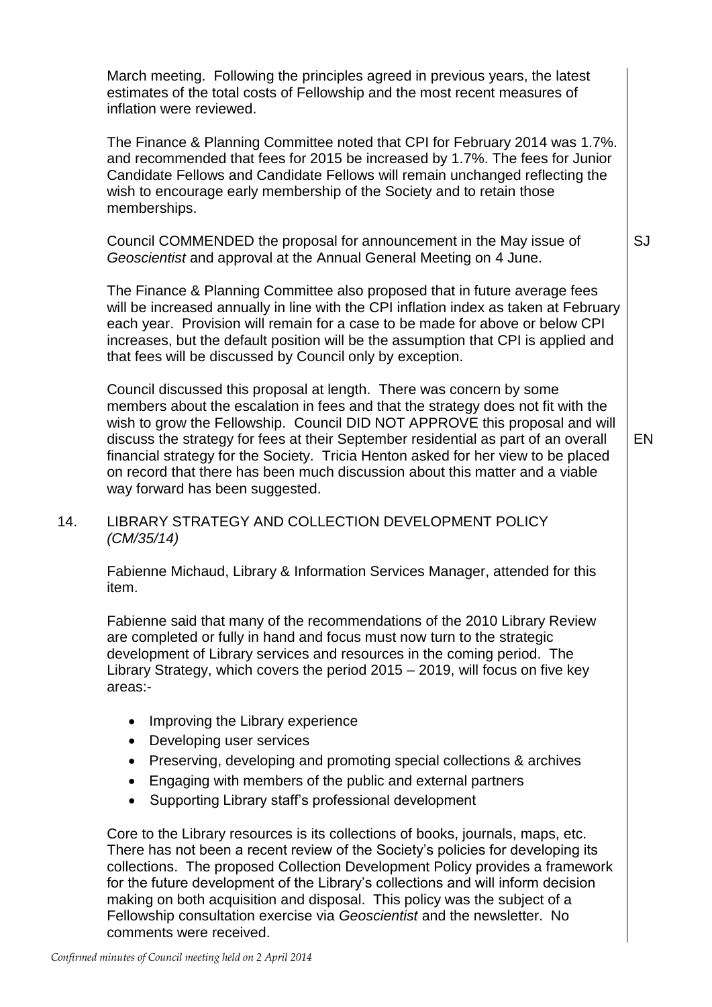March meeting. Following the principles agreed in previous years, the latest estimates of the total costs of Fellowship and the most recent measures of inflation were reviewed.

The Finance & Planning Committee noted that CPI for February 2014 was 1.7%. and recommended that fees for 2015 be increased by 1.7%. The fees for Junior Candidate Fellows and Candidate Fellows will remain unchanged reflecting the wish to encourage early membership of the Society and to retain those memberships.

Council COMMENDED the proposal for announcement in the May issue of *Geoscientist* and approval at the Annual General Meeting on 4 June.

The Finance & Planning Committee also proposed that in future average fees will be increased annually in line with the CPI inflation index as taken at February each year. Provision will remain for a case to be made for above or below CPI increases, but the default position will be the assumption that CPI is applied and that fees will be discussed by Council only by exception.

Council discussed this proposal at length. There was concern by some members about the escalation in fees and that the strategy does not fit with the wish to grow the Fellowship. Council DID NOT APPROVE this proposal and will discuss the strategy for fees at their September residential as part of an overall financial strategy for the Society. Tricia Henton asked for her view to be placed on record that there has been much discussion about this matter and a viable way forward has been suggested.

# 14. LIBRARY STRATEGY AND COLLECTION DEVELOPMENT POLICY *(CM/35/14)*

Fabienne Michaud, Library & Information Services Manager, attended for this item.

Fabienne said that many of the recommendations of the 2010 Library Review are completed or fully in hand and focus must now turn to the strategic development of Library services and resources in the coming period. The Library Strategy, which covers the period 2015 – 2019, will focus on five key areas:-

- Improving the Library experience
- Developing user services
- Preserving, developing and promoting special collections & archives
- Engaging with members of the public and external partners
- Supporting Library staff's professional development

Core to the Library resources is its collections of books, journals, maps, etc. There has not been a recent review of the Society's policies for developing its collections. The proposed Collection Development Policy provides a framework for the future development of the Library's collections and will inform decision making on both acquisition and disposal. This policy was the subject of a Fellowship consultation exercise via *Geoscientist* and the newsletter. No comments were received.

EN

SJ